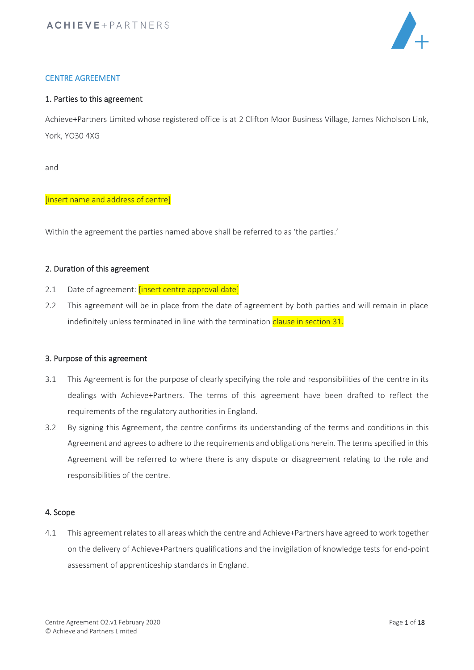

# CENTRE AGREEMENT

#### 1. Parties to this agreement

Achieve+Partners Limited whose registered office is at 2 Clifton Moor Business Village, James Nicholson Link, York, YO30 4XG

and

#### [insert name and address of centre]

Within the agreement the parties named above shall be referred to as 'the parties.'

### 2. Duration of this agreement

- 2.1 Date of agreement: *[insert centre approval date]*
- 2.2 This agreement will be in place from the date of agreement by both parties and will remain in place indefinitely unless terminated in line with the termination clause in section 31.

### 3. Purpose of this agreement

- 3.1 This Agreement is for the purpose of clearly specifying the role and responsibilities of the centre in its dealings with Achieve+Partners. The terms of this agreement have been drafted to reflect the requirements of the regulatory authorities in England.
- 3.2 By signing this Agreement, the centre confirms its understanding of the terms and conditions in this Agreement and agrees to adhere to the requirements and obligations herein. The terms specified in this Agreement will be referred to where there is any dispute or disagreement relating to the role and responsibilities of the centre.

#### 4. Scope

4.1 This agreement relates to all areas which the centre and Achieve+Partners have agreed to work together on the delivery of Achieve+Partners qualifications and the invigilation of knowledge tests for end-point assessment of apprenticeship standards in England.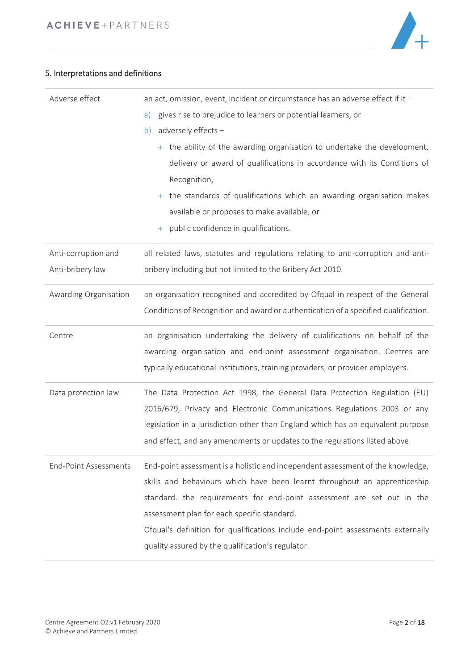

# 5. Interpretations and definitions

| Adverse effect                          | an act, omission, event, incident or circumstance has an adverse effect if it -<br>gives rise to prejudice to learners or potential learners, or<br>a)<br>adversely effects -<br>b)<br>$+$ the ability of the awarding organisation to undertake the development,<br>delivery or award of qualifications in accordance with its Conditions of<br>Recognition, |
|-----------------------------------------|---------------------------------------------------------------------------------------------------------------------------------------------------------------------------------------------------------------------------------------------------------------------------------------------------------------------------------------------------------------|
|                                         | $+$ the standards of qualifications which an awarding organisation makes<br>available or proposes to make available, or<br>public confidence in qualifications.<br>$\pm$                                                                                                                                                                                      |
| Anti-corruption and<br>Anti-bribery law | all related laws, statutes and regulations relating to anti-corruption and anti-<br>bribery including but not limited to the Bribery Act 2010.                                                                                                                                                                                                                |
| Awarding Organisation                   | an organisation recognised and accredited by Ofqual in respect of the General<br>Conditions of Recognition and award or authentication of a specified qualification.                                                                                                                                                                                          |
| Centre                                  | an organisation undertaking the delivery of qualifications on behalf of the<br>awarding organisation and end-point assessment organisation. Centres are                                                                                                                                                                                                       |
|                                         | typically educational institutions, training providers, or provider employers.                                                                                                                                                                                                                                                                                |
| Data protection law                     | The Data Protection Act 1998, the General Data Protection Regulation (EU)<br>2016/679, Privacy and Electronic Communications Regulations 2003 or any<br>legislation in a jurisdiction other than England which has an equivalent purpose<br>and effect, and any amendments or updates to the regulations listed above.                                        |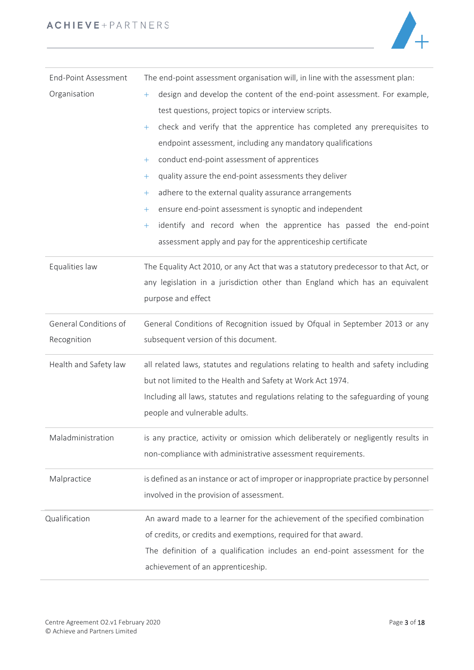

| <b>End-Point Assessment</b> | The end-point assessment organisation will, in line with the assessment plan:       |  |  |
|-----------------------------|-------------------------------------------------------------------------------------|--|--|
| Organisation                | design and develop the content of the end-point assessment. For example,<br>$+$     |  |  |
|                             | test questions, project topics or interview scripts.                                |  |  |
|                             | check and verify that the apprentice has completed any prerequisites to<br>$\pm$    |  |  |
|                             | endpoint assessment, including any mandatory qualifications                         |  |  |
|                             | conduct end-point assessment of apprentices<br>$\pm$                                |  |  |
|                             | quality assure the end-point assessments they deliver<br>$+$                        |  |  |
|                             | adhere to the external quality assurance arrangements<br>$+$                        |  |  |
|                             | ensure end-point assessment is synoptic and independent<br>$\pm$                    |  |  |
|                             | identify and record when the apprentice has passed the end-point<br>$\pm$           |  |  |
|                             | assessment apply and pay for the apprenticeship certificate                         |  |  |
| Equalities law              | The Equality Act 2010, or any Act that was a statutory predecessor to that Act, or  |  |  |
|                             | any legislation in a jurisdiction other than England which has an equivalent        |  |  |
|                             | purpose and effect                                                                  |  |  |
| General Conditions of       | General Conditions of Recognition issued by Ofqual in September 2013 or any         |  |  |
| Recognition                 | subsequent version of this document.                                                |  |  |
| Health and Safety law       | all related laws, statutes and regulations relating to health and safety including  |  |  |
|                             | but not limited to the Health and Safety at Work Act 1974.                          |  |  |
|                             | Including all laws, statutes and regulations relating to the safeguarding of young  |  |  |
|                             | people and vulnerable adults.                                                       |  |  |
| Maladministration           | is any practice, activity or omission which deliberately or negligently results in  |  |  |
|                             | non-compliance with administrative assessment requirements.                         |  |  |
| Malpractice                 | is defined as an instance or act of improper or inappropriate practice by personnel |  |  |
|                             | involved in the provision of assessment.                                            |  |  |
| Qualification               | An award made to a learner for the achievement of the specified combination         |  |  |
|                             | of credits, or credits and exemptions, required for that award.                     |  |  |
|                             | The definition of a qualification includes an end-point assessment for the          |  |  |
|                             | achievement of an apprenticeship.                                                   |  |  |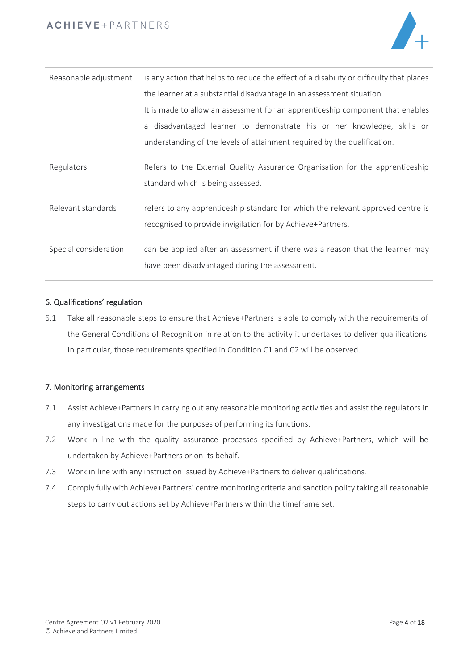

| Reasonable adjustment | is any action that helps to reduce the effect of a disability or difficulty that places                                                        |  |  |
|-----------------------|------------------------------------------------------------------------------------------------------------------------------------------------|--|--|
|                       | the learner at a substantial disadvantage in an assessment situation.                                                                          |  |  |
|                       | It is made to allow an assessment for an apprenticeship component that enables                                                                 |  |  |
|                       | a disadvantaged learner to demonstrate his or her knowledge, skills or                                                                         |  |  |
|                       | understanding of the levels of attainment required by the qualification.                                                                       |  |  |
| Regulators            | Refers to the External Quality Assurance Organisation for the apprenticeship<br>standard which is being assessed.                              |  |  |
| Relevant standards    | refers to any apprenticeship standard for which the relevant approved centre is<br>recognised to provide invigilation for by Achieve+Partners. |  |  |
| Special consideration | can be applied after an assessment if there was a reason that the learner may<br>have been disadvantaged during the assessment.                |  |  |

# 6. Qualifications' regulation

6.1 Take all reasonable steps to ensure that Achieve+Partners is able to comply with the requirements of the General Conditions of Recognition in relation to the activity it undertakes to deliver qualifications. In particular, those requirements specified in Condition C1 and C2 will be observed.

## 7. Monitoring arrangements

- 7.1 Assist Achieve+Partners in carrying out any reasonable monitoring activities and assist the regulators in any investigations made for the purposes of performing its functions.
- 7.2 Work in line with the quality assurance processes specified by Achieve+Partners, which will be undertaken by Achieve+Partners or on its behalf.
- 7.3 Work in line with any instruction issued by Achieve+Partners to deliver qualifications.
- 7.4 Comply fully with Achieve+Partners' centre monitoring criteria and sanction policy taking all reasonable steps to carry out actions set by Achieve+Partners within the timeframe set.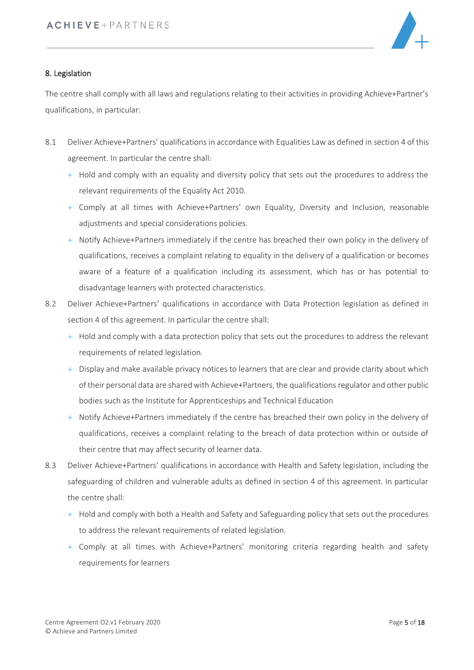

# 8. Legislation

The centre shall comply with all laws and regulations relating to their activities in providing Achieve+Partner's qualifications, in particular:

- 8.1 Deliver Achieve+Partners' qualifications in accordance with Equalities Law as defined in section 4 of this agreement. In particular the centre shall:
	- $+$  Hold and comply with an equality and diversity policy that sets out the procedures to address the relevant requirements of the Equality Act 2010.
	- + Comply at all times with Achieve+Partners' own Equality, Diversity and Inclusion, reasonable adjustments and special considerations policies.
	- + Notify Achieve+Partners immediately if the centre has breached their own policy in the delivery of qualifications, receives a complaint relating to equality in the delivery of a qualification or becomes aware of a feature of a qualification including its assessment, which has or has potential to disadvantage learners with protected characteristics.
- 8.2 Deliver Achieve+Partners' qualifications in accordance with Data Protection legislation as defined in section 4 of this agreement. In particular the centre shall:
	- $+$  Hold and comply with a data protection policy that sets out the procedures to address the relevant requirements of related legislation.
	- + Display and make available privacy notices to learners that are clear and provide clarity about which of their personal data are shared with Achieve+Partners, the qualificationsregulator and other public bodies such as the Institute for Apprenticeships and Technical Education
	- + Notify Achieve+Partners immediately if the centre has breached their own policy in the delivery of qualifications, receives a complaint relating to the breach of data protection within or outside of their centre that may affect security of learner data.
- 8.3 Deliver Achieve+Partners' qualifications in accordance with Health and Safety legislation, including the safeguarding of children and vulnerable adults as defined in section 4 of this agreement. In particular the centre shall:
	- $+$  Hold and comply with both a Health and Safety and Safeguarding policy that sets out the procedures to address the relevant requirements of related legislation.
	- + Comply at all times with Achieve+Partners' monitoring criteria regarding health and safety requirements for learners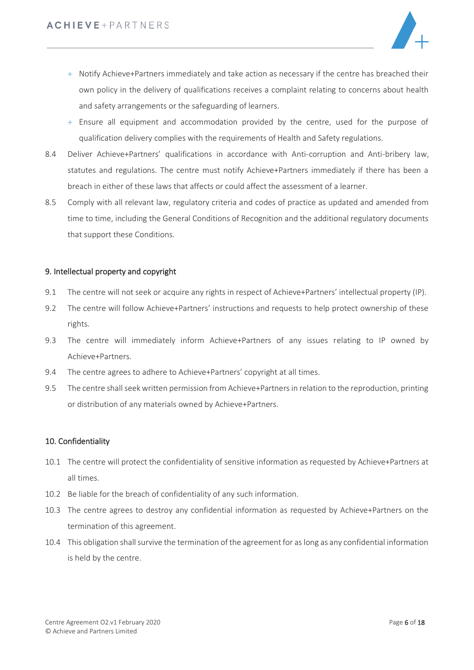

- + Notify Achieve+Partners immediately and take action as necessary if the centre has breached their own policy in the delivery of qualifications receives a complaint relating to concerns about health and safety arrangements or the safeguarding of learners.
- $+$  Ensure all equipment and accommodation provided by the centre, used for the purpose of qualification delivery complies with the requirements of Health and Safety regulations.
- 8.4 Deliver Achieve+Partners' qualifications in accordance with Anti-corruption and Anti-bribery law, statutes and regulations. The centre must notify Achieve+Partners immediately if there has been a breach in either of these laws that affects or could affect the assessment of a learner.
- 8.5 Comply with all relevant law, regulatory criteria and codes of practice as updated and amended from time to time, including the General Conditions of Recognition and the additional regulatory documents that support these Conditions.

### 9. Intellectual property and copyright

- 9.1 The centre will not seek or acquire any rights in respect of Achieve+Partners' intellectual property (IP).
- 9.2 The centre will follow Achieve+Partners' instructions and requests to help protect ownership of these rights.
- 9.3 The centre will immediately inform Achieve+Partners of any issues relating to IP owned by Achieve+Partners.
- 9.4 The centre agrees to adhere to Achieve+Partners' copyright at all times.
- 9.5 The centre shall seek written permission from Achieve+Partners in relation to the reproduction, printing or distribution of any materials owned by Achieve+Partners.

### 10. Confidentiality

- 10.1 The centre will protect the confidentiality of sensitive information as requested by Achieve+Partners at all times.
- 10.2 Be liable for the breach of confidentiality of any such information.
- 10.3 The centre agrees to destroy any confidential information as requested by Achieve+Partners on the termination of this agreement.
- 10.4 This obligation shall survive the termination of the agreement for as long as any confidential information is held by the centre.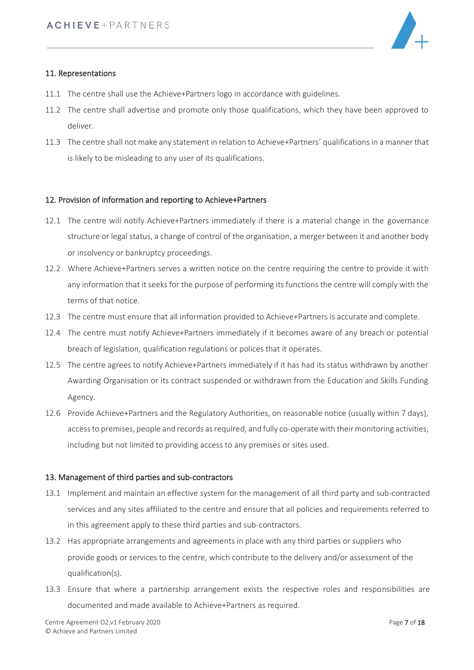

# 11. Representations

- 11.1 The centre shall use the Achieve+Partners logo in accordance with guidelines.
- 11.2 The centre shall advertise and promote only those qualifications, which they have been approved to deliver.
- 11.3 The centre shall not make any statement in relation to Achieve+Partners' qualificationsin a manner that is likely to be misleading to any user of its qualifications.

### 12. Provision of information and reporting to Achieve+Partners

- 12.1 The centre will notify Achieve+Partners immediately if there is a material change in the governance structure or legal status, a change of control of the organisation, a merger between it and another body or insolvency or bankruptcy proceedings.
- 12.2 Where Achieve+Partners serves a written notice on the centre requiring the centre to provide it with any information that it seeks for the purpose of performing its functions the centre will comply with the terms of that notice.
- 12.3 The centre must ensure that all information provided to Achieve+Partners is accurate and complete.
- 12.4 The centre must notify Achieve+Partners immediately if it becomes aware of any breach or potential breach of legislation, qualification regulations or polices that it operates.
- 12.5 The centre agrees to notify Achieve+Partners immediately if it has had its status withdrawn by another Awarding Organisation or its contract suspended or withdrawn from the Education and Skills Funding Agency.
- 12.6 Provide Achieve+Partners and the Regulatory Authorities, on reasonable notice (usually within 7 days), access to premises, people and records as required, and fully co-operate with their monitoring activities, including but not limited to providing access to any premises or sites used.

### 13. Management of third parties and sub-contractors

- 13.1 Implement and maintain an effective system for the management of all third party and sub-contracted services and any sites affiliated to the centre and ensure that all policies and requirements referred to in this agreement apply to these third parties and sub-contractors.
- 13.2 Has appropriate arrangements and agreements in place with any third parties or suppliers who provide goods or services to the centre, which contribute to the delivery and/or assessment of the qualification(s).
- 13.3 Ensure that where a partnership arrangement exists the respective roles and responsibilities are documented and made available to Achieve+Partners as required.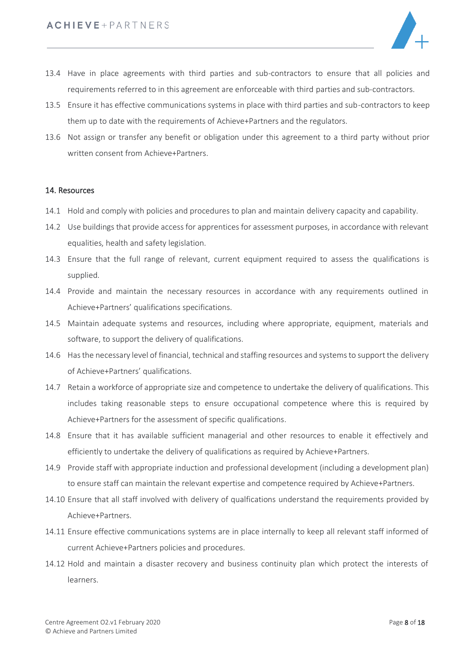

- 13.4 Have in place agreements with third parties and sub-contractors to ensure that all policies and requirements referred to in this agreement are enforceable with third parties and sub-contractors.
- 13.5 Ensure it has effective communications systems in place with third parties and sub-contractors to keep them up to date with the requirements of Achieve+Partners and the regulators.
- 13.6 Not assign or transfer any benefit or obligation under this agreement to a third party without prior written consent from Achieve+Partners.

#### 14. Resources

- 14.1 Hold and comply with policies and procedures to plan and maintain delivery capacity and capability.
- 14.2 Use buildings that provide access for apprentices for assessment purposes, in accordance with relevant equalities, health and safety legislation.
- 14.3 Ensure that the full range of relevant, current equipment required to assess the qualifications is supplied.
- 14.4 Provide and maintain the necessary resources in accordance with any requirements outlined in Achieve+Partners' qualifications specifications.
- 14.5 Maintain adequate systems and resources, including where appropriate, equipment, materials and software, to support the delivery of qualifications.
- 14.6 Has the necessary level of financial, technical and staffing resources and systems to support the delivery of Achieve+Partners' qualifications.
- 14.7 Retain a workforce of appropriate size and competence to undertake the delivery of qualifications. This includes taking reasonable steps to ensure occupational competence where this is required by Achieve+Partners for the assessment of specific qualifications.
- 14.8 Ensure that it has available sufficient managerial and other resources to enable it effectively and efficiently to undertake the delivery of qualifications as required by Achieve+Partners.
- 14.9 Provide staff with appropriate induction and professional development (including a development plan) to ensure staff can maintain the relevant expertise and competence required by Achieve+Partners.
- 14.10 Ensure that all staff involved with delivery of qualfications understand the requirements provided by Achieve+Partners.
- 14.11 Ensure effective communications systems are in place internally to keep all relevant staff informed of current Achieve+Partners policies and procedures.
- 14.12 Hold and maintain a disaster recovery and business continuity plan which protect the interests of learners.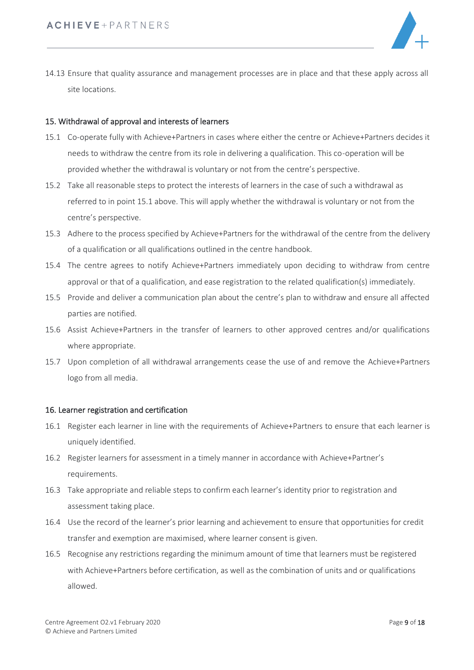

14.13 Ensure that quality assurance and management processes are in place and that these apply across all site locations.

# 15. Withdrawal of approval and interests of learners

- 15.1 Co-operate fully with Achieve+Partners in cases where either the centre or Achieve+Partners decides it needs to withdraw the centre from its role in delivering a qualification. This co-operation will be provided whether the withdrawal is voluntary or not from the centre's perspective.
- 15.2 Take all reasonable steps to protect the interests of learners in the case of such a withdrawal as referred to in point 15.1 above. This will apply whether the withdrawal is voluntary or not from the centre's perspective.
- 15.3 Adhere to the process specified by Achieve+Partners for the withdrawal of the centre from the delivery of a qualification or all qualifications outlined in the centre handbook.
- 15.4 The centre agrees to notify Achieve+Partners immediately upon deciding to withdraw from centre approval or that of a qualification, and ease registration to the related qualification(s) immediately.
- 15.5 Provide and deliver a communication plan about the centre's plan to withdraw and ensure all affected parties are notified.
- 15.6 Assist Achieve+Partners in the transfer of learners to other approved centres and/or qualifications where appropriate.
- 15.7 Upon completion of all withdrawal arrangements cease the use of and remove the Achieve+Partners logo from all media.

### 16. Learner registration and certification

- 16.1 Register each learner in line with the requirements of Achieve+Partners to ensure that each learner is uniquely identified.
- 16.2 Register learners for assessment in a timely manner in accordance with Achieve+Partner's requirements.
- 16.3 Take appropriate and reliable steps to confirm each learner's identity prior to registration and assessment taking place.
- 16.4 Use the record of the learner's prior learning and achievement to ensure that opportunities for credit transfer and exemption are maximised, where learner consent is given.
- 16.5 Recognise any restrictions regarding the minimum amount of time that learners must be registered with Achieve+Partners before certification, as well as the combination of units and or qualifications allowed.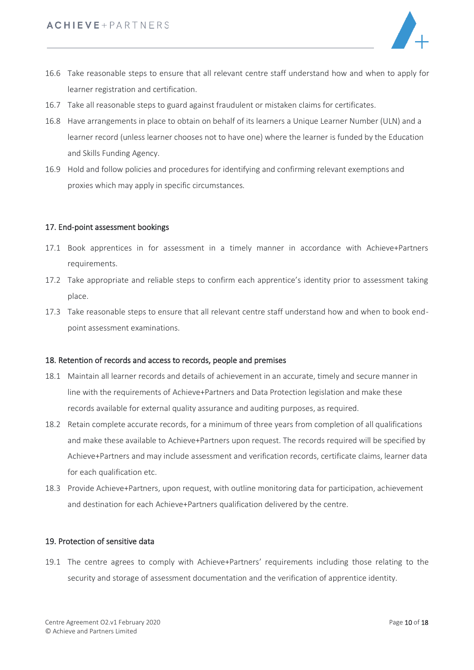

- 16.6 Take reasonable steps to ensure that all relevant centre staff understand how and when to apply for learner registration and certification.
- 16.7 Take all reasonable steps to guard against fraudulent or mistaken claims for certificates.
- 16.8 Have arrangements in place to obtain on behalf of its learners a Unique Learner Number (ULN) and a learner record (unless learner chooses not to have one) where the learner is funded by the Education and Skills Funding Agency.
- 16.9 Hold and follow policies and procedures for identifying and confirming relevant exemptions and proxies which may apply in specific circumstances.

# 17. End-point assessment bookings

- 17.1 Book apprentices in for assessment in a timely manner in accordance with Achieve+Partners requirements.
- 17.2 Take appropriate and reliable steps to confirm each apprentice's identity prior to assessment taking place.
- 17.3 Take reasonable steps to ensure that all relevant centre staff understand how and when to book endpoint assessment examinations.

### 18. Retention of records and access to records, people and premises

- 18.1 Maintain all learner records and details of achievement in an accurate, timely and secure manner in line with the requirements of Achieve+Partners and Data Protection legislation and make these records available for external quality assurance and auditing purposes, as required.
- 18.2 Retain complete accurate records, for a minimum of three years from completion of all qualifications and make these available to Achieve+Partners upon request. The records required will be specified by Achieve+Partners and may include assessment and verification records, certificate claims, learner data for each qualification etc.
- 18.3 Provide Achieve+Partners, upon request, with outline monitoring data for participation, achievement and destination for each Achieve+Partners qualification delivered by the centre.

### 19. Protection of sensitive data

19.1 The centre agrees to comply with Achieve+Partners' requirements including those relating to the security and storage of assessment documentation and the verification of apprentice identity.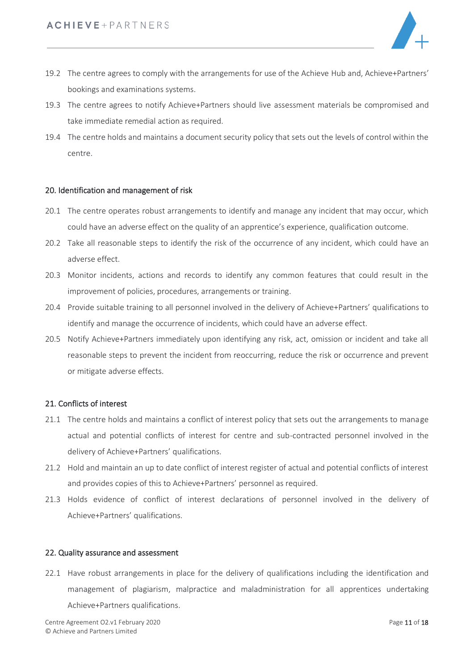

- 19.2 The centre agrees to comply with the arrangements for use of the Achieve Hub and, Achieve+Partners' bookings and examinations systems.
- 19.3 The centre agrees to notify Achieve+Partners should live assessment materials be compromised and take immediate remedial action as required.
- 19.4 The centre holds and maintains a document security policy that sets out the levels of control within the centre.

### 20. Identification and management of risk

- 20.1 The centre operates robust arrangements to identify and manage any incident that may occur, which could have an adverse effect on the quality of an apprentice's experience, qualification outcome.
- 20.2 Take all reasonable steps to identify the risk of the occurrence of any incident, which could have an adverse effect.
- 20.3 Monitor incidents, actions and records to identify any common features that could result in the improvement of policies, procedures, arrangements or training.
- 20.4 Provide suitable training to all personnel involved in the delivery of Achieve+Partners' qualifications to identify and manage the occurrence of incidents, which could have an adverse effect.
- 20.5 Notify Achieve+Partners immediately upon identifying any risk, act, omission or incident and take all reasonable steps to prevent the incident from reoccurring, reduce the risk or occurrence and prevent or mitigate adverse effects.

### 21. Conflicts of interest

- 21.1 The centre holds and maintains a conflict of interest policy that sets out the arrangements to manage actual and potential conflicts of interest for centre and sub-contracted personnel involved in the delivery of Achieve+Partners' qualifications.
- 21.2 Hold and maintain an up to date conflict of interest register of actual and potential conflicts of interest and provides copies of this to Achieve+Partners' personnel as required.
- 21.3 Holds evidence of conflict of interest declarations of personnel involved in the delivery of Achieve+Partners' qualifications.

#### 22. Quality assurance and assessment

22.1 Have robust arrangements in place for the delivery of qualifications including the identification and management of plagiarism, malpractice and maladministration for all apprentices undertaking Achieve+Partners qualifications.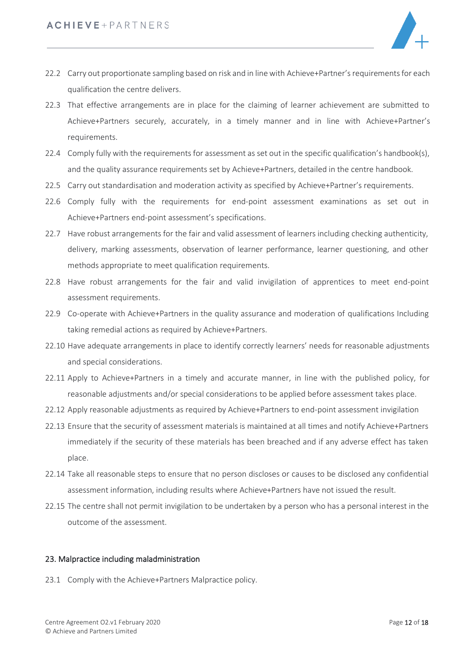

- 22.2 Carry out proportionate sampling based on risk and in line with Achieve+Partner's requirements for each qualification the centre delivers.
- 22.3 That effective arrangements are in place for the claiming of learner achievement are submitted to Achieve+Partners securely, accurately, in a timely manner and in line with Achieve+Partner's requirements.
- 22.4 Comply fully with the requirements for assessment as set out in the specific qualification's handbook(s), and the quality assurance requirements set by Achieve+Partners, detailed in the centre handbook.
- 22.5 Carry out standardisation and moderation activity as specified by Achieve+Partner's requirements.
- 22.6 Comply fully with the requirements for end-point assessment examinations as set out in Achieve+Partners end-point assessment's specifications.
- 22.7 Have robust arrangements for the fair and valid assessment of learners including checking authenticity, delivery, marking assessments, observation of learner performance, learner questioning, and other methods appropriate to meet qualification requirements.
- 22.8 Have robust arrangements for the fair and valid invigilation of apprentices to meet end-point assessment requirements.
- 22.9 Co-operate with Achieve+Partners in the quality assurance and moderation of qualifications Including taking remedial actions as required by Achieve+Partners.
- 22.10 Have adequate arrangements in place to identify correctly learners' needs for reasonable adjustments and special considerations.
- 22.11 Apply to Achieve+Partners in a timely and accurate manner, in line with the published policy, for reasonable adjustments and/or special considerations to be applied before assessment takes place.
- 22.12 Apply reasonable adjustments as required by Achieve+Partners to end-point assessment invigilation
- 22.13 Ensure that the security of assessment materials is maintained at all times and notify Achieve+Partners immediately if the security of these materials has been breached and if any adverse effect has taken place.
- 22.14 Take all reasonable steps to ensure that no person discloses or causes to be disclosed any confidential assessment information, including results where Achieve+Partners have not issued the result.
- 22.15 The centre shall not permit invigilation to be undertaken by a person who has a personal interest in the outcome of the assessment.

# 23. Malpractice including maladministration

23.1 Comply with the Achieve+Partners Malpractice policy.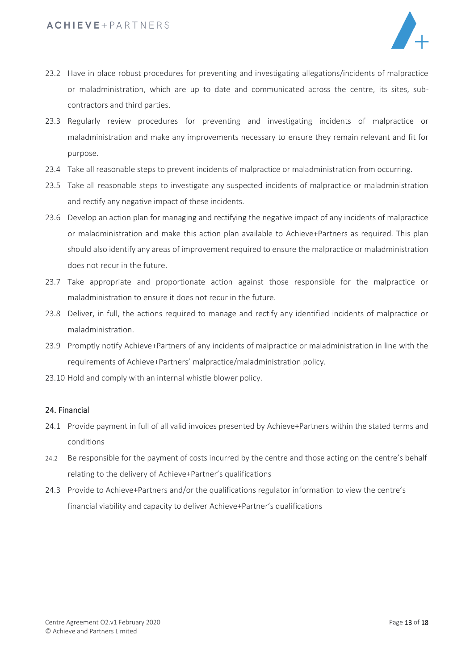

- 23.2 Have in place robust procedures for preventing and investigating allegations/incidents of malpractice or maladministration, which are up to date and communicated across the centre, its sites, subcontractors and third parties.
- 23.3 Regularly review procedures for preventing and investigating incidents of malpractice or maladministration and make any improvements necessary to ensure they remain relevant and fit for purpose.
- 23.4 Take all reasonable steps to prevent incidents of malpractice or maladministration from occurring.
- 23.5 Take all reasonable steps to investigate any suspected incidents of malpractice or maladministration and rectify any negative impact of these incidents.
- 23.6 Develop an action plan for managing and rectifying the negative impact of any incidents of malpractice or maladministration and make this action plan available to Achieve+Partners as required. This plan should also identify any areas of improvement required to ensure the malpractice or maladministration does not recur in the future.
- 23.7 Take appropriate and proportionate action against those responsible for the malpractice or maladministration to ensure it does not recur in the future.
- 23.8 Deliver, in full, the actions required to manage and rectify any identified incidents of malpractice or maladministration.
- 23.9 Promptly notify Achieve+Partners of any incidents of malpractice or maladministration in line with the requirements of Achieve+Partners' malpractice/maladministration policy.
- 23.10 Hold and comply with an internal whistle blower policy.

### 24. Financial

- 24.1 Provide payment in full of all valid invoices presented by Achieve+Partners within the stated terms and conditions
- 24.2 Be responsible for the payment of costs incurred by the centre and those acting on the centre's behalf relating to the delivery of Achieve+Partner's qualifications
- 24.3 Provide to Achieve+Partners and/or the qualifications regulator information to view the centre's financial viability and capacity to deliver Achieve+Partner's qualifications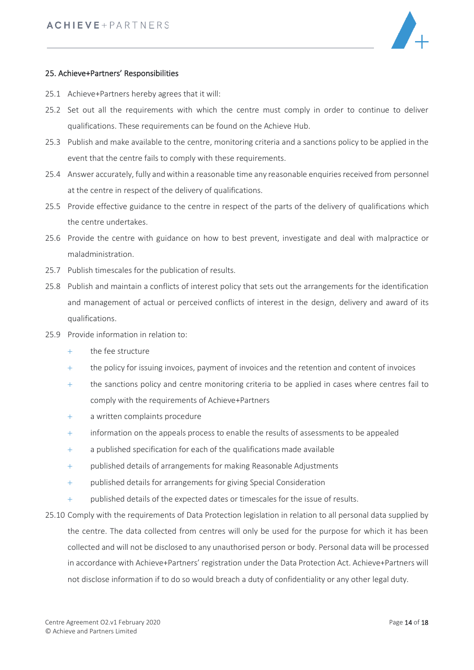

### 25. Achieve+Partners' Responsibilities

- 25.1 Achieve+Partners hereby agrees that it will:
- 25.2 Set out all the requirements with which the centre must comply in order to continue to deliver qualifications. These requirements can be found on the Achieve Hub.
- 25.3 Publish and make available to the centre, monitoring criteria and a sanctions policy to be applied in the event that the centre fails to comply with these requirements.
- 25.4 Answer accurately, fully and within a reasonable time any reasonable enquiries received from personnel at the centre in respect of the delivery of qualifications.
- 25.5 Provide effective guidance to the centre in respect of the parts of the delivery of qualifications which the centre undertakes.
- 25.6 Provide the centre with guidance on how to best prevent, investigate and deal with malpractice or maladministration.
- 25.7 Publish timescales for the publication of results.
- 25.8 Publish and maintain a conflicts of interest policy that sets out the arrangements for the identification and management of actual or perceived conflicts of interest in the design, delivery and award of its qualifications.
- 25.9 Provide information in relation to:
	- + the fee structure
	- + the policy for issuing invoices, payment of invoices and the retention and content of invoices
	- + the sanctions policy and centre monitoring criteria to be applied in cases where centres fail to comply with the requirements of Achieve+Partners
	- + a written complaints procedure
	- + information on the appeals process to enable the results of assessments to be appealed
	- + a published specification for each of the qualifications made available
	- + published details of arrangements for making Reasonable Adjustments
	- + published details for arrangements for giving Special Consideration
	- + published details of the expected dates or timescales for the issue of results.
- 25.10 Comply with the requirements of Data Protection legislation in relation to all personal data supplied by the centre. The data collected from centres will only be used for the purpose for which it has been collected and will not be disclosed to any unauthorised person or body. Personal data will be processed in accordance with Achieve+Partners' registration under the Data Protection Act. Achieve+Partners will not disclose information if to do so would breach a duty of confidentiality or any other legal duty.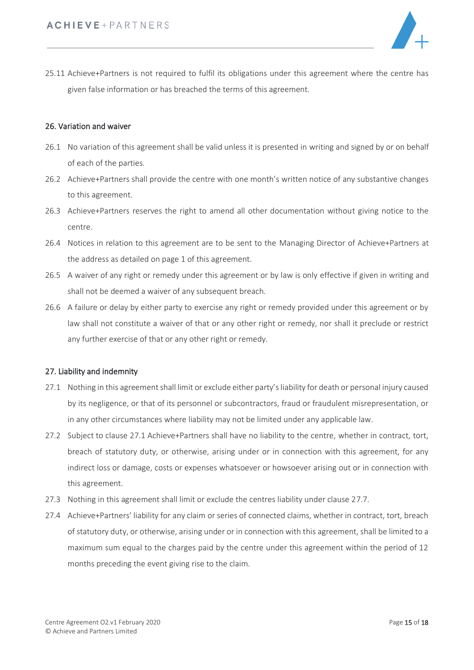

25.11 Achieve+Partners is not required to fulfil its obligations under this agreement where the centre has given false information or has breached the terms of this agreement.

### 26. Variation and waiver

- 26.1 No variation of this agreement shall be valid unless it is presented in writing and signed by or on behalf of each of the parties.
- 26.2 Achieve+Partners shall provide the centre with one month's written notice of any substantive changes to this agreement.
- 26.3 Achieve+Partners reserves the right to amend all other documentation without giving notice to the centre.
- 26.4 Notices in relation to this agreement are to be sent to the Managing Director of Achieve+Partners at the address as detailed on page 1 of this agreement.
- 26.5 A waiver of any right or remedy under this agreement or by law is only effective if given in writing and shall not be deemed a waiver of any subsequent breach.
- 26.6 A failure or delay by either party to exercise any right or remedy provided under this agreement or by law shall not constitute a waiver of that or any other right or remedy, nor shall it preclude or restrict any further exercise of that or any other right or remedy.

### 27. Liability and indemnity

- 27.1 Nothing in this agreement shall limit or exclude either party's liability for death or personal injury caused by its negligence, or that of its personnel or subcontractors, fraud or fraudulent misrepresentation, or in any other circumstances where liability may not be limited under any applicable law.
- 27.2 Subject to clause 27.1 Achieve+Partners shall have no liability to the centre, whether in contract, tort, breach of statutory duty, or otherwise, arising under or in connection with this agreement, for any indirect loss or damage, costs or expenses whatsoever or howsoever arising out or in connection with this agreement.
- 27.3 Nothing in this agreement shall limit or exclude the centres liability under clause 27.7.
- 27.4 Achieve+Partners' liability for any claim or series of connected claims, whether in contract, tort, breach of statutory duty, or otherwise, arising under or in connection with this agreement, shall be limited to a maximum sum equal to the charges paid by the centre under this agreement within the period of 12 months preceding the event giving rise to the claim.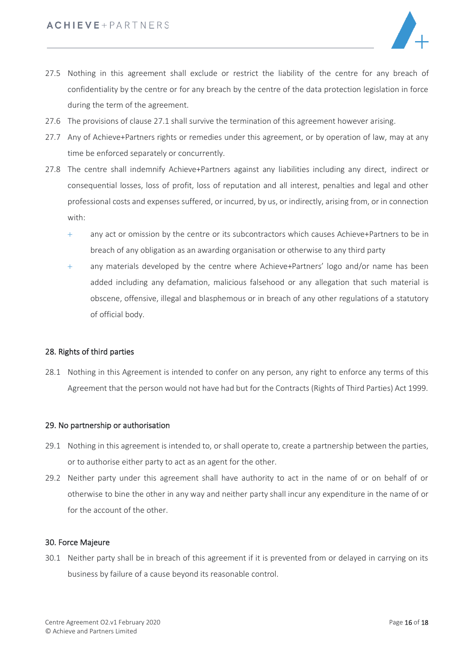

- 27.5 Nothing in this agreement shall exclude or restrict the liability of the centre for any breach of confidentiality by the centre or for any breach by the centre of the data protection legislation in force during the term of the agreement.
- 27.6 The provisions of clause 27.1 shall survive the termination of this agreement however arising.
- 27.7 Any of Achieve+Partners rights or remedies under this agreement, or by operation of law, may at any time be enforced separately or concurrently.
- 27.8 The centre shall indemnify Achieve+Partners against any liabilities including any direct, indirect or consequential losses, loss of profit, loss of reputation and all interest, penalties and legal and other professional costs and expenses suffered, or incurred, by us, or indirectly, arising from, or in connection with:
	- + any act or omission by the centre or its subcontractors which causes Achieve+Partners to be in breach of any obligation as an awarding organisation or otherwise to any third party
	- + any materials developed by the centre where Achieve+Partners' logo and/or name has been added including any defamation, malicious falsehood or any allegation that such material is obscene, offensive, illegal and blasphemous or in breach of any other regulations of a statutory of official body.

### 28. Rights of third parties

28.1 Nothing in this Agreement is intended to confer on any person, any right to enforce any terms of this Agreement that the person would not have had but for the Contracts (Rights of Third Parties) Act 1999.

### 29. No partnership or authorisation

- 29.1 Nothing in this agreement is intended to, or shall operate to, create a partnership between the parties, or to authorise either party to act as an agent for the other.
- 29.2 Neither party under this agreement shall have authority to act in the name of or on behalf of or otherwise to bine the other in any way and neither party shall incur any expenditure in the name of or for the account of the other.

### 30. Force Majeure

30.1 Neither party shall be in breach of this agreement if it is prevented from or delayed in carrying on its business by failure of a cause beyond its reasonable control.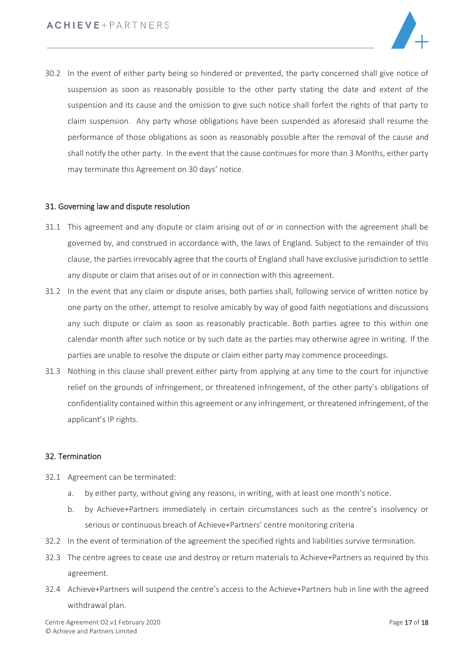

30.2 In the event of either party being so hindered or prevented, the party concerned shall give notice of suspension as soon as reasonably possible to the other party stating the date and extent of the suspension and its cause and the omission to give such notice shall forfeit the rights of that party to claim suspension. Any party whose obligations have been suspended as aforesaid shall resume the performance of those obligations as soon as reasonably possible after the removal of the cause and shall notify the other party. In the event that the cause continues for more than 3 Months, either party may terminate this Agreement on 30 days' notice.

#### 31. Governing law and dispute resolution

- 31.1 This agreement and any dispute or claim arising out of or in connection with the agreement shall be governed by, and construed in accordance with, the laws of England. Subject to the remainder of this clause, the parties irrevocably agree that the courts of England shall have exclusive jurisdiction to settle any dispute or claim that arises out of or in connection with this agreement.
- 31.2 In the event that any claim or dispute arises, both parties shall, following service of written notice by one party on the other, attempt to resolve amicably by way of good faith negotiations and discussions any such dispute or claim as soon as reasonably practicable. Both parties agree to this within one calendar month after such notice or by such date as the parties may otherwise agree in writing. If the parties are unable to resolve the dispute or claim either party may commence proceedings.
- 31.3 Nothing in this clause shall prevent either party from applying at any time to the court for injunctive relief on the grounds of infringement, or threatened infringement, of the other party's obligations of confidentiality contained within this agreement or any infringement, or threatened infringement, of the applicant's IP rights.

### 32. Termination

- 32.1 Agreement can be terminated:
	- a. by either party, without giving any reasons, in writing, with at least one month's notice.
	- b. by Achieve+Partners immediately in certain circumstances such as the centre's insolvency or serious or continuous breach of Achieve+Partners' centre monitoring criteria
- 32.2 In the event of termination of the agreement the specified rights and liabilities survive termination.
- 32.3 The centre agrees to cease use and destroy or return materials to Achieve+Partners as required by this agreement.
- 32.4 Achieve+Partners will suspend the centre's access to the Achieve+Partners hub in line with the agreed withdrawal plan.